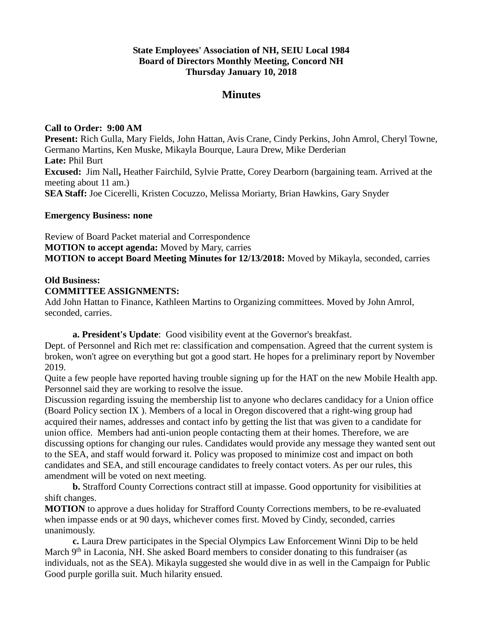# **State Employees' Association of NH, SEIU Local 1984 Board of Directors Monthly Meeting, Concord NH Thursday January 10, 2018**

# **Minutes**

## **Call to Order: 9:00 AM**

**Present:** Rich Gulla, Mary Fields, John Hattan, Avis Crane, Cindy Perkins, John Amrol, Cheryl Towne, Germano Martins, Ken Muske, Mikayla Bourque, Laura Drew, Mike Derderian **Late:** Phil Burt **Excused:** Jim Nall**,** Heather Fairchild, Sylvie Pratte, Corey Dearborn (bargaining team. Arrived at the meeting about 11 am.) **SEA Staff:** Joe Cicerelli, Kristen Cocuzzo, Melissa Moriarty, Brian Hawkins, Gary Snyder

#### **Emergency Business: none**

Review of Board Packet material and Correspondence **MOTION to accept agenda:** Moved by Mary, carries **MOTION to accept Board Meeting Minutes for 12/13/2018:** Moved by Mikayla, seconded, carries

#### **Old Business:**

## **COMMITTEE ASSIGNMENTS:**

Add John Hattan to Finance, Kathleen Martins to Organizing committees. Moved by John Amrol, seconded, carries.

**a. President's Update**: Good visibility event at the Governor's breakfast.

Dept. of Personnel and Rich met re: classification and compensation. Agreed that the current system is broken, won't agree on everything but got a good start. He hopes for a preliminary report by November 2019.

Quite a few people have reported having trouble signing up for the HAT on the new Mobile Health app. Personnel said they are working to resolve the issue.

Discussion regarding issuing the membership list to anyone who declares candidacy for a Union office (Board Policy section IX ). Members of a local in Oregon discovered that a right-wing group had acquired their names, addresses and contact info by getting the list that was given to a candidate for union office. Members had anti-union people contacting them at their homes. Therefore, we are discussing options for changing our rules. Candidates would provide any message they wanted sent out to the SEA, and staff would forward it. Policy was proposed to minimize cost and impact on both candidates and SEA, and still encourage candidates to freely contact voters. As per our rules, this amendment will be voted on next meeting.

**b.** Strafford County Corrections contract still at impasse. Good opportunity for visibilities at shift changes.

**MOTION** to approve a dues holiday for Strafford County Corrections members, to be re-evaluated when impasse ends or at 90 days, whichever comes first. Moved by Cindy, seconded, carries unanimously.

**c.** Laura Drew participates in the Special Olympics Law Enforcement Winni Dip to be held March 9<sup>th</sup> in Laconia, NH. She asked Board members to consider donating to this fundraiser (as individuals, not as the SEA). Mikayla suggested she would dive in as well in the Campaign for Public Good purple gorilla suit. Much hilarity ensued.